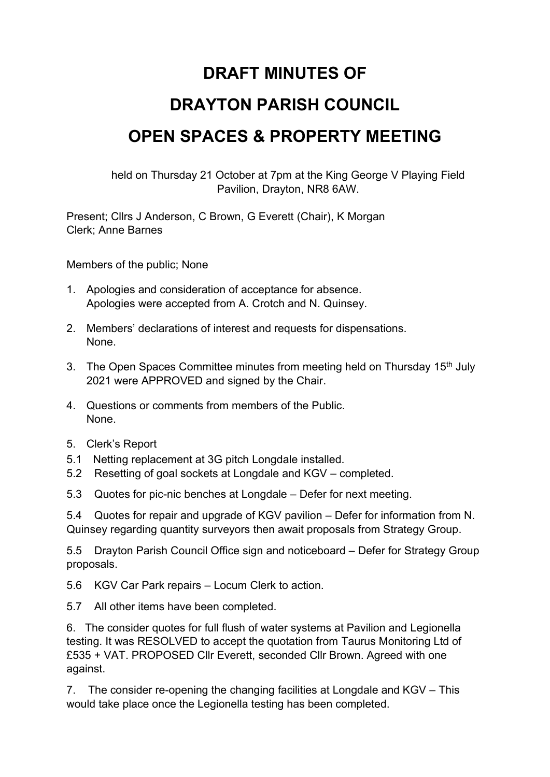## **DRAFT MINUTES OF**

## **DRAYTON PARISH COUNCIL**

## **OPEN SPACES & PROPERTY MEETING**

held on Thursday 21 October at 7pm at the King George V Playing Field Pavilion, Drayton, NR8 6AW.

Present; Cllrs J Anderson, C Brown, G Everett (Chair), K Morgan Clerk; Anne Barnes

Members of the public; None

- 1. Apologies and consideration of acceptance for absence. Apologies were accepted from A. Crotch and N. Quinsey.
- 2. Members' declarations of interest and requests for dispensations. None.
- 3. The Open Spaces Committee minutes from meeting held on Thursday 15<sup>th</sup> July 2021 were APPROVED and signed by the Chair.
- 4. Questions or comments from members of the Public. None.
- 5. Clerk's Report
- 5.1 Netting replacement at 3G pitch Longdale installed.
- 5.2 Resetting of goal sockets at Longdale and KGV completed.
- 5.3 Quotes for pic-nic benches at Longdale Defer for next meeting.

5.4 Quotes for repair and upgrade of KGV pavilion – Defer for information from N. Quinsey regarding quantity surveyors then await proposals from Strategy Group.

5.5 Drayton Parish Council Office sign and noticeboard – Defer for Strategy Group proposals.

- 5.6 KGV Car Park repairs Locum Clerk to action.
- 5.7 All other items have been completed.

6. The consider quotes for full flush of water systems at Pavilion and Legionella testing. It was RESOLVED to accept the quotation from Taurus Monitoring Ltd of £535 + VAT. PROPOSED Cllr Everett, seconded Cllr Brown. Agreed with one against.

7. The consider re-opening the changing facilities at Longdale and KGV – This would take place once the Legionella testing has been completed.